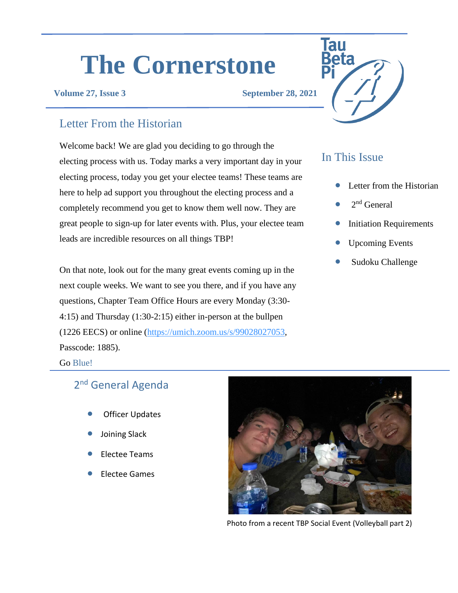# **The Cornerstone**

**Volume 27, Issue 3 September 28, 2021**

## Letter From the Historian

Welcome back! We are glad you deciding to go through the electing process with us. Today marks a very important day in your electing process, today you get your electee teams! These teams are here to help ad support you throughout the electing process and a completely recommend you get to know them well now. They are great people to sign-up for later events with. Plus, your electee team leads are incredible resources on all things TBP!

On that note, look out for the many great events coming up in the next couple weeks. We want to see you there, and if you have any questions, Chapter Team Office Hours are every Monday (3:30- 4:15) and Thursday (1:30-2:15) either in-person at the bullpen (1226 EECS) or online [\(https://umich.zoom.us/s/99028027053,](https://umich.zoom.us/s/99028027053) Passcode: 1885).

## In This Issue

- Letter from the Historian
- $2<sup>nd</sup>$  General
- **Initiation Requirements**
- Upcoming Events
- Sudoku Challenge

#### Go Blue!

## 2<sup>nd</sup> General Agenda

- **Officer Updates**
- Joining Slack
- Electee Teams
- Electee Games



Photo from a recent TBP Social Event (Volleyball part 2)